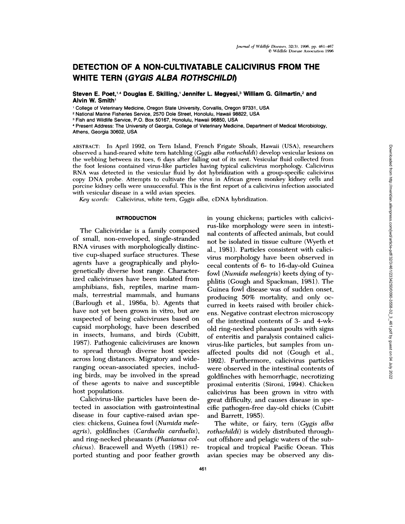# **DETECTION OF A NON-CULTIVATABLE CALICIVIRUS FROM THE WHITE TERN (GYGIS ALBA ROTHSCHILD!)**

**Steven E.** Poet,14 **Douglas E. Skilling,1 Jennifer L. Megyesi,3 William G. Gilmartin,2 and Alvin W.Smith1**

College of Veterinary Medicine, Oregon State University, Corvallis, Oregon 97331, USA

**<sup>2</sup>** National Marine Fisheries Service, 2570 Dole Street, Honolulu, Hawaii 98822, USA

Fish and Wildlife Service, P.O. Box 50167, Honolulu, Hawaii 96850, USA

Present Address: The University of Georgia, College of Veterinary Medicine, Department of Medical Microbiology, Athens, Georgia 30602, USA

ABSTRACT: In April 1992, on Tern Island, French Frigate Shoals, Hawaii (USA), researchers observed a hand-reared white tern hatchhing *(Gygis alba rothschildi)* develop vesicular lesions on the webbing between its toes, 6 days after falling out of its nest. Vesicular fluid collected from the foot lesions contained virus-like particles having typical calicivirus morphology. Cahicivirus RNA was detected in the vesicular fluid by dot hybridization with a group-specific calicivirus copy DNA probe. Attempts to cultivate the virus in African green monkey kidney cells and porcine kidney cells were unsuccessful. This is the first report of a cahicivirus infection associated with vesicular disease in a wild avian species.

*Key words:* Cahicivirus, white tern, *Gygis alba,* cDNA hybridization.

## **INTRODUCTION**

The Caliciviridae is a family composed of small, non-enveloped, single-stranded RNA viruses with morphologically distinctive cup-shaped surface structures. These agents have a geographically and phylogenetically diverse host range. Characterized caliciviruses have been isolated from amphibians, fish, reptiles, marine mam mals, terrestrial mammals, and humans (Barlough et a!., 1986a, b). Agents that have not yet been grown in vitro, but are suspected of being caliciviruses based on capsid morphology, have been described in insects, humans, and birds (Cubitt, 1987). Pathogenic caliciviruses are known to spread through diverse host species across long distances. Migratory and wideranging ocean-associated species, including birds, may be involved in the spread of these agents to naive and susceptible host populations.

Calicivirus-like particles have been detected in association with gastrointestinal disease in four captive-raised avian species: chickens, Guinea fowl *(Numida meleagris*), goldfinches (Carduelis carduelis), and ring-necked pheasants *(Phasianus colchicus).* Bracewell and Wyeth (1981) re ported stunting and poor feather growth in young chickens; particles with calicivirus-like morphology were seen in intestinal contents of affected animals, but could not be isolated in tissue culture (Wyeth et al., 1981). Particles consistent with calicivirus morphology have been observed in cecal contents of 6- to 16-day-old Guinea fowl *(Numida nwleagris)* keets dying of typhlitis (Gough and Spackman, 1981). The Guinea fowl disease was of sudden onset, producing 50% mortality, and only oc curred in keets raised with broiler chick ens. Negative contrast electron microscopy of the intestinal contents of 3- and 4-wkold ring-necked pheasant poults with signs of enteritis and paralysis contained calicivirus-like particles, but samples from un affected poults did not (Gough et a!., 1992). Furthermore, calicivirus particles were observed in the intestinal contents of goldfinches with hemorrhagic, necrotizing proximal enteritis (Sironi, 1994). Chicken calicivirus has been grown in vitro with great difficulty, and causes disease in specific pathogen-free day-old chicks (Cubitt and Barrett, 1985).

The white, or fairy, tern *(Gygis alba rothschildi)* is widely distributed through out offshore and pelagic waters of the subtropical and tropical Pacific Ocean. This avian species may be observed any dis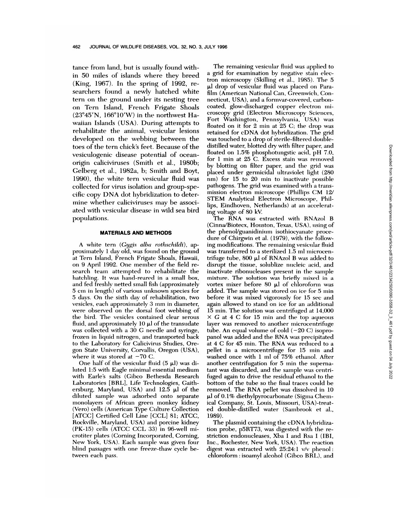tance from land, but is usually found within 50 miles of islands where they breed (King, 1967). In the spring of 1992, re searchers found a newly hatched white tern on the ground under its nesting tree on Tern Island, French Frigate Shoals  $(23^{\circ}45'N, 166^{\circ}10'W)$  in the northwest Hawaiian Islands (USA). During attempts to rehabilitate the animal, vesicular lesions developed on the webbing between the toes of the tern chick's feet. Because of the vesiculogenic disease potential of ocean origin caliciviruses (Smith et al., 1980b; Gelberg et al., 1982a, b; Smith and Boyt, 1990), the white tern vesicular fluid was collected for virus isolation and group-spe cific copy DNA dot hybridization to determine whether caliciviruses may be associated with vesicular disease in wild sea bird populations.

# **MATERIALS AND METHODS**

A white tern *(Gugis alba rothschildi)*, approximately 1 day old, was found on the ground at Tern Island, French Frigate Shoals, Hawaii, on 9 April 1992. One member of the field re search team attempted to rehabilitate the hatchiling. It was hand-reared in a small box, and fed freshly netted small fish (approximately 5 cm in length) of variotus unknown species for 5 days. On the sixth day of rehabilitation, two vesicles, each approximately 3 mm in diameter, were observed on the dorsal foot webbing of the bird. The vesicles contained clear serous fluid, and approximately  $10 \mu$  of the transudate was collected with a 30 C needle and syringe, frozen in liquuid nitrogen, and transported back to the Laboratory for Calicivinus Studies, Oregon State University, Corvallis, Oregon (USA), where it was stored at  $-70$  C.

One half of the vesicular fluid  $(5 \mu l)$  was diluted 1:5 with Eagle minimal essential medium with Earle's salts (Gibco Bethesda Research Laboratories [BRL], Life Technologies, Gaithersburg, Maryland, USA) and  $12.5 \mu$ l of the diluted sample was adsorbed onto separate monolayers of African green monkey kidney (Vero) cells (American Type Culture Collection [ATCC] Certified Cell Line [CCL] 81; ATCC, Rockville, Maryland, USA) and porcine kidney (PK-15) cells (ATCC CCL 33) in 96-well mi crotiter plates (Corning Incorporated, Corning, New York, USA). Each sample was given four blind passages with one freeze-thaw cycle between each pass.

The remaining vesicular fluid was applied to a grid for examination by negative stain electron microscopy (Skilling et al., 1985). The 5 ul drop of vesicular fluid was placed on Parafilm (American National Can, Greenwich, Connecticut, USA), and a formvar-covered, carboncoated, glow-discharged copper electron mi croscopy grid (Electron Microscopy Sciences, Fort Washington, Pennsylvania, USA) was floated on it for 2 min at 25 C; the drop was retained for cDNA dot hybridization. The grid was touched to a drop of sterile-filtered doubledistilled water, blotted dry with filter paper, and floated on  $1.5\%$  phosphotungstic acid, pH 7.0, for 1 min at 25 C. Excess stain was removed by blotting on filter paper, and the grid was placed under germicidal tultraviolet light (280 nm) for 15 to 20 min to inactivate possible pathogens. The grid was examined with a transmission electron microscope (Phillips CM 12/ STEM Analytical Electron Microscope, Phillips, Eindhoven, Netherlands) at an accelerating voltage of 80 kV.

The RNA was extracted with RNAzol B (Cinna/Biotecx, Houston, Texas, USA), using of the phenol/guanidiniuum isothiocyanate proce dure of Chirgwin et al. (1979), with the following modifications. The remaining vesicular fluid was transferred to a sterilized 1.5 ml microcentrifuge tube,  $800 \mu l$  of RNAzol B was added to disrupt the tissue, solublize nucleic acid, and inactivate ribonucleases present in the sample mixture. The solution was briefly mixed in a vortex mixer before 80  $\mu$ l of chloroform was added. The sample was stored on ice for 5 min before it was mixed vigorously for 15 sec and again allowed to stand on ice for an additional 15 min. The solution was centrifuged at 14,000  $\times$  *G* at 4 C for 15 min and the top aqueous layer was removed to another microcentrifiuge tube. An equal volume of cold  $(-20 \text{ C})$  isopropanol was added and the RNA was precipitated at 4 C for 45 mm. The RNA was reduced to a pellet in a microcentrifuge for 15 min and washed once with 1 ml of 75% ethanol. After another centrifugation for 5 min the supernatant was discarded, and the sample was centrifuged again to drive the residual ethanol to the bottom of the tube so the final traces could be removed. The RNA pellet was dissolved in 10 **IL!** of 0.1% diethylpyrocarbonate (Sigma Chemical Company, St. Louis, Missouri, USA)-treated dounble-distilled water (Sambrook et a!., 1989).

The plasmid containing the cDNA hybridization probe, p5RT73, was digested with the re striction endonucleases, Xba I and Rsa I (IBI, Inc., Rochester, New York, USA). The reaction digest was extracted with 25:24:1 v/v phenol: chloroform : isoamyl alcohol (Cihco BRL), and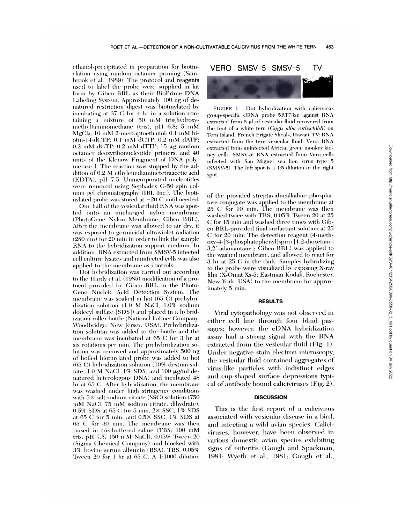ethanol-precipitated in preparation for biotinvlation using random octamer priming (Sambrook et al., 1989). The protocol and reagents used to label the probe were supplied in kit form by Gibco BRL as their BioPrime DNA Labeling System. Approximately 100 ng of denatured restriction digest was biotinylated by incubating at 37 C for 4 hr in a solution containing a mixture of 50 mM tris(hydroxymethyl)aminomethane (tris), pH 6.8; 5 mM  $MgCl<sub>2</sub>: 10$  mM 2-mercaptoethanol; 0.1 mM biotin-14-dCTP; 0.1 mM dCTP; 0.2 mM dATP;  $0.2$  mM dGTP;  $0.2$  mM dTTP; 15  $\mu$ g random octamer deoxyribonucleotide primers; and 40 units of the Klenow Fragment of DNA polymerase I. The reaction was stopped by the addition of 0.2 M ethylenediaminetetraacetic acid (EDTA), pH 7.5. Unincorporated nucleotides were removed using Sephadex G-50 spin column gel chromatography (IBI, Inc.). The biotinvlated probe was stored at  $-20$  C until needed.

One half of the vesicular fluid RNA was spotted onto an uncharged nylon membrane (PhotoGene Nylon Membrane, Gibco BRL). After the membrane was allowed to air dry, it was exposed to germicidal ultraviolet radiation (280 nm) for 20 min in order to link the sample RNA to the hybridization support medium. In addition, RNA extracted from SMSV-5 infected cell culture lysates and uninfected cells was also applied to the membrane as controls.

Dot hybridization was carried out according to the Hardy et al. (1985) modification of a protocol provided by Gibco BRL in the Photo-Gene Nucleic Acid Detection System. The membrane was soaked in hot  $(65 \nC)$  prehybridization solution (1.0 M NaCl, 1.0% sodium dodecyl sulfate [SDS]) and placed in a hybridization roller bottle (National Labnet Company, Woodbridge, New Jersey, USA). Prehybridization solution was added to the bottle and the membrane was incubated at 65 C for 3 hr at six rotations per min. The prehybridization solution was removed and approximately 500 ng of boiled biotinvlated probe was added to hot  $(65 C)$  hybridization solution  $(10\%$  dextran sulfate,  $1.0$  M NaCl,  $1\%$  SDS, and  $100 \mu g/ml$  denatured heterologous DNA) and incubated 48 hr at 65 C. After hybridization, the membrane was washed under high stringency conditions with  $5\times$  salt sodium citrate (SSC) solution (750) mM NaCl, 75 mM sodium citrate, dihydrate), 0.5% SDS at 65 C for 5 min,  $2 \times$  SSC, 1% SDS at 65 C for 5 min, and  $0.5 \times$  SSC, 1% SDS at 65 C for 30 min. The membrane was then rinsed in tris-buffered saline (TBS; 100 mM tris, pH 7.5, 150 mM NaCl), 0.05% Tween 20 (Sigma Chemical Company) and blocked with 3% bovine serum albumin (BSA), TBS, 0.05% Tween 20 for 1 hr at 65 C. A 1:1000 dilution

TV SMSV-5 SMSV-5 **VERO** 

FIGURE 1. Dot hybridization with calicivirus group-specific cDNA probe 5RT73xr, against RNA extracted from 5 µl of vesicular fluid recovered from the foot of a white tern (Gygis alba rothschildi) on Tern Island, French Frigate Shoals, Hawaii. TV: RNA extracted from the tern vesicular fluid. Vero: RNA extracted from uninfected African green monkey kidney cells. SMSV-5: RNA extracted from Vero cells infected with San Miguel sea lion virus type 5 (SMSV-5). The left spot is a 1:5 dilution of the right spot.

of the provided streptavidin:alkaline phosphatase conjugate was applied to the membrane at 25 C for 10 min. The membrane was then washed twice with TBS, 0.05% Tween 20 at 25 C for 15 min and washed three times with Gibco BRL-provided final surfactant solution at 25 C for 20 min. The detection reagent (4-methoxy-4-[3-phosphatephenyl]spiro [1,2-dioxetane-3,2'-adamantane]; Gibco BRL) was applied to the washed membrane, and allowed to react for 3 hr at 25 C in the dark. Samples hybridizing to the probe were visualized by exposing X-ray film (X-Omat Xs-5; Eastman Kodak, Rochester, New York, USA) to the membrane for approximately 5 min.

#### **RESULTS**

Viral cytopathology was not observed in either cell line through four blind passages; however, the cDNA hybridization assay had a strong signal with the RNA extracted from the vesicular fluid (Fig. 1). Under negative stain electron microscopy, the vesicular fluid contained aggregates of virus-like particles with indistinct edges and cup-shaped surface depressions typical of antibody bound caliciviruses (Fig. 2).

## **DISCUSSION**

This is the first report of a calicivirus associated with vesicular disease in a bird, and infecting a wild avian species. Caliciviruses, however, have been observed in various domestic avian species exhibiting signs of enteritis (Gough and Spackman, 1981; Wyeth et al., 1981; Gough et al.,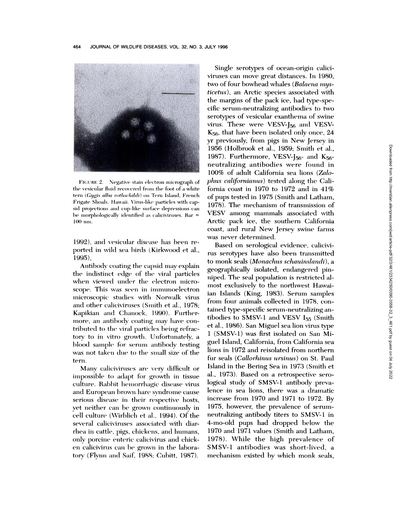

FIGURE 2. Negative stain electron micrograph of the vesicular fluid recovered from the foot of a white tern (Gygis alba rothschildi) on Tern Island, French Frigate Shoals, Hawaii. Virus-like particles with capsid projections and cup-like surface depressions can be morphologically identified as caliciviruses. Bar =  $100$  nm.

1992), and vesicular disease has been reported in wild sea birds (Kirkwood et al., 1995).

Antibody coating the capsid may explain the indistinct edge of the viral particles when viewed under the electron microscope. This was seen in immunoelectron microscopic studies with Norwalk virus and other caliciviruses (Smith et al., 1978; Kapikian and Chanock, 1990). Furthermore, an antibody coating may have contributed to the viral particles being refractory to in vitro growth. Unfortunately, a blood sample for serum antibody testing was not taken due to the small size of the tern.

Many caliciviruses are very difficult or impossible to adapt for growth in tissue culture. Rabbit hemorrhagic disease virus and European brown hare syndrome cause serious disease in their respective hosts, yet neither can be grown continuously in cell culture (Wirblich et al., 1994). Of the several caliciviruses associated with diarrhea in cattle, pigs, chickens, and humans, only porcine enteric calicivirus and chicken calicivirus can be grown in the laboratory (Flynn and Saif, 1988; Cubitt, 1987).

Single serotypes of ocean-origin caliciviruses can move great distances. In 1980, two of four bowhead whales (Balaena mys*ticetus*), an Arctic species associated with the margins of the pack ice, had type-specific serum-neutralizing antibodies to two serotypes of vesicular exanthema of swine virus. These were VESV-<sup>[56 and</sup> VESV- $K_{56}$ , that have been isolated only once, 24 yr previously, from pigs in New Jersey in 1956 (Holbrook et al., 1959; Smith et al., 1987). Furthermore, VESV-J<sub>56</sub>- and K<sub>56</sub>neutralizing antibodies were found in 100% of adult California sea lions (Zalophus californianus) tested along the California coast in 1970 to 1972 and in 41% of pups tested in 1975 (Smith and Latham, 1978). The mechanism of transmission of VESV among mammals associated with Arctic pack ice, the southern California coast, and rural New Jersey swine farms was never determined.

Based on serological evidence, calicivirus serotypes have also been transmitted to monk seals (M*onachus schauinslandi*), a geographically isolated, endangered pinniped. The seal population is restricted almost exclusively to the northwest Hawaiian Islands (King, 1983). Serum samples from four animals collected in 1978, contained type-specific serum-neutralizing antibodies to SMSV-1 and VESV I<sub>55</sub> (Smith et al., 1986). San Miguel sea lion virus type 1 (SMSV-1) was first isolated on San Miguel Island, California, from California sea lions in 1972 and reisolated from northern fur seals (Callorhinus ursinus) on St. Paul Island in the Bering Sea in 1973 (Smith et al., 1973). Based on a retrospective serological study of SMSV-1 antibody prevalence in sea lions, there was a dramatic increase from 1970 and 1971 to 1972. By 1975, however, the prevalence of serumneutralizing antibody titers to SMSV-1 in 4-mo-old pups had dropped below the 1970 and 1971 values (Smith and Latham, 1978). While the high prevalence of SMSV-1 antibodies was short-lived, a mechanism existed by which monk seals,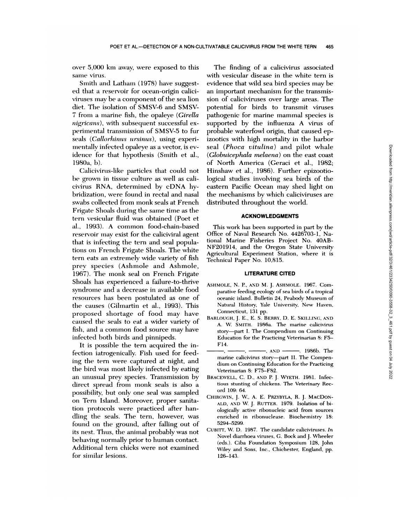over 5,000 km away, were exposed to this same virus.

Smith and Latham (1978) have suggested that a reservoir for ocean-origin caliciviruses may be a component of the sea lion diet. The isolation of SMSV-6 and SMSV-7 from a marine fish, the opa!eye *(Girella nigricans),* with subsequent successful ex perimental transmission of SMSV-5 to fur seals *(Callorhinus ursinus)*, using experimentally infected opaleye as a vector, is evidence for that hypothesis (Smith et al., 1980a, b).

Calicivirus-like particles that could not be grown in tissue culture as well as calicivirus RNA, determined by cDNA hybridization, were found in rectal and nasal swabs collected from monk seals at French Frigate Shoals during the same time as the tern vesicular fluid was obtained (Poet et a!., 1993). A common food-chain-based reservoir may exist for the caliciviral agent that is infecting the tern and seal populations on French Frigate Shoals. The white tern eats an extremely wide variety of fish prey species (Ashmole and Ashmole, 1967). The monk sea! on French Frigate Shoals has experienced a failure-to-thrive syndrome and a decrease in available food resources has been postulated as one of the causes (Gilmartin et al., 1993). This proposed shortage of food may have caused the seals to eat a wider variety of fish, and a common food source may have infected both birds and pinnipeds.

It is possible the tern acquired the infection iatrogenically. Fish used for feeding the tern were captured at night, and the bird was most likely infected by eating an unusual prey species. Transmission by direct spread from monk seals is also a possibility, but only one seal was sampled on Tern Island. Moreover, proper sanitation protocols were practiced after handling the seals. The tern, however, was found on the ground, after falling out of its nest. Thus, the animal probably was not behaving normally prior to human contact. Additional tern chicks were not examined for similar lesions.

The finding of a calicivirus associated with vesicular disease in the white tern is evidence that wild sea bird species may be an important mechanism for the transmission of caliciviruses over large areas. The potential for birds to transmit viruses pathogenic for marine mammal species is supported by the influenza A virus of probable waterfowl origin, that caused epizootics with high mortality in the harbor seal *(Phoca vitulina)* and pilot whale *(Globuicephala melaena)* on the east coast of North America (Geraci et al., 1982; Hinshaw et al., 1986). Further epizootiological studies involving sea birds of the eastern Pacific Ocean may shed light on the mechanisms by which caliciviruses are distributed throughout the world.

#### **ACKNOWLEDGMENTS**

This work has been supported in part by the Office of Naval Research No. 4426703-1, National Marine Fisheries Project No. 4OAB-NF201914, and the Oregon State University Agricultural Experiment Station, where it is Technical Paper No. 10,815.

#### **LITERATURE CITED**

- ASHMOLE, N. P., AND M. J. ASHM0LE. 1967. Com parative feeding ecology of sea birds of a tropical oceanic island. Bulletin 24, Peabody Museum of Natural History, Yale University, New Haven, Connecticut, 131 pp.
- BARLOUGH, J. E., E. S. BERRY, D. E. SKILLINC, AND A. W. SMITH. 1986a. The marine cahicivirus story-part I. The Compendium on Continuing Education for the Practicing Veterinarian 8: F5- F14.
- -, AND --------. 1986b. The marine calicivirus story--part II. The Compendium on Continuing Education for the Practicing Veterinarian 8: F75-F82.
- BRACEWELL, C. D., AND P. J. WYETH. 1981. Infectious stunting of chickens. The Veterinary Record 109: 64.
- CHIRGWnN, J. W, A. E. PRZYBYLA, R. J. MACDON- ALD, AND W. J. RUTTER. 1979. Isolation of bi ologically active ribonucleic acid from sources enriched in ribonuclease. Biochemistry 18: 5294-5299.
- CUBITT, W. D. 1987. The candidate cahiciviruses. *In* Novel diarrhoea viruses, C. Bock and J. Wheeler (eds.). Ciba Foundation Symposium 128. John Wiley and Sons, Inc., Chichester, England, pp. 126-143.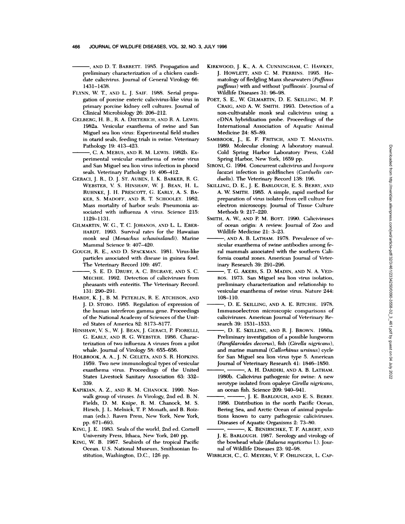AND D. T. BARRETT. 1985. Propagation and preliminary characterization of a chicken candi date calicivirus. Journal of General Virology 66: 1431-1438.

- FLYNN, <sup>W</sup> T., AND L. J. SAIF. 1988. Serial propa gation of porcine enteric calicivirus-like virus in primary porcine kidney cell cultures. Journal of Clinical Microbiology 26: 206-212.
- CELBERC, H. B., R. A. DIETERICH, AND R. A. LEWIS. 1982a. Vesicular exanthema of swine and San Miguel sea lion virus: Experimental field studies in otarid seals, feeding trials in swine. Veterinary Pathology 19: 413-423.
	- C. A. MEBUs, AND R. M. LEWIs. 1982b. Ex perimental vesicular exanthema of swine virus and San Miguel sea lion vinus infection in phocid seals. Veterinary Pathology 19: 406-412.
- CERACI, J. R., D. J. ST. AUBEN, I. K. BARKER, R. C. WEBSTER, V. S. HINSHAW, W. J. BEAN, H. L. RUHNKE, J. H. PRESCOTT, C. EARLY, A. S. BA- KER, S. MADOFF, AND R. T. SCHOOLEY. 1982. Mass mortality of harbor seals: Pneumonia as sociated with influenza A virus. Science 215: 1129-1131.
- CILMARTIN, W. C., T C. JOHANOS, AND L. L. EBER- HARDT. 1993. Survival rates for the Hawaiian monk seal *(Monachus schauinslandi)*. Marine Mammal Science 9: 407-420.
- CoucH, R. E., AND D. SPACKMAN. 1981. Virus-like particles associated with disease in guinea fowl. The Veterinary Record 109: 497.
- S. E. D. DRURY, A. C. BYCRAVE, AND S. C. MECHIE. 1992. Detection of caliciviruses from pheasants with enteritis. The Veterinary Record. 131: 290-291.
- HARDY, K. J., B. M. PETERLIN, R. E. ATCHISON, AND J. D. ST0B0. 1985. Regulation of expression of the human interferon gamma gene. Proceedings of the National Academy of Sciences of the United States of America 82: 8173-8177.
- HINSHAW, V. S., W. J. BEAN, J. GERACI, P. FIORELLI, C. EARLY, AND R. C. WEBSTER. 1986. Characterization of two influenza A viruses from a pilot whale. Journal of Virology 58: 655-656.
- HOLBROOK, A. A., J. N. CELETA, AND S. R. HOPKINS. 1959. Two new immunological types of vesicular exanthema virus. Proceedings of the United States Livestock Sanitary Association 63: 332- 339.
- KAPIKIAN, A. **Z.,** AND R. M. CHANOCK. 1990. Nor walk group of viruses. *In* Virology, 2nd ed. B. N. Fields, D. M. Knipe, R. M. Chanock, M. S. Hirsch, J. **L. Melnick, T. P.** Monath, and **B. Roiz** man (eds.). Raven Press, New York, New York, pp. 671-693.
- KING, J. E. 1983. Seals of the world, 2nd ed. Cornell University Press, Ithaca, New York, 240 pp.
- KING, W. B. 1967. Seabirds of the tropical Pacific Ocean. U.S. National Museum, Smithsonian In stitution, Washington, D.C., 126 pp.
- KIRKWOOD, J. K., A. A. CUNNINGHAM, C. HAWKEY, J. H0WLETr, AND C. M. PERRINS. 1995. He matology of fledgling Manx shearwaters *(Puffinus puffinus)* with and without 'puffinosis'. Journal of Wildlife Diseases 31: 96-98.
- POET, S. E., W. CILMARTIN, D. E. SKILLING, M. P. CRAIG, AND A. W SMITH. 1993. Detection of a non-cultivatable monk seal calicivirus using a eDNA hybridization probe. Proceedings of the International Association of Aquatic Animal Medicine 24: 85-89.
- SAMBROOK, J., E. F. FRITSCH, AND T. MANIATIS. 1989. Molecular cloning: A laboratory manual. Cold Spring Harbor Laboratory Press, Cold Spring Harbor, New York, 1659 pp.
- SIRONI, G. 1994. Concurrent calicivirus and *Isospora lacazei* infection in goldfinches *(Carduelis car duelis).* The Veterinary Record 138: 196.
- SKILLING, D. E., J. E. BARLOUGH, E. S. BERRY, AND **A. W.** SMITH. 1985. A simple, rapid method for preparation of virus isolates from cell culture for electron microscopy. Journal of Tissue Culture Methods 9: 217-220.
- SMITH, A. W, AND P. M. BoYr. 1990. Caliciviruses of ocean origin: A review. Journal of Zoo and Wildlife Medicine 21: 3-23.
- AND A. B. LATHAM. 1978. Prevalence of ve sicular exanthema of swine antibodies among feral mammals associated with the southern Cali fornia coastal zones. American Journal of Veterinary Research 39: 291-296.
- -, T. G. AKERS, S. D. MADIN, AND N. A. VED-ROS. 1973. San Miguel sea lion virus isolation, preliminary characterization and relationship to vesicular exanthema of swine virus. Nature 244: 108-110.
- **D.** E. SKILLING, AND A. E. RITCIIIE. 1978. Immunoeiectron microscopic comparisons of caliciviruses. American Journal of Veterinary Research 39: 1531-1533.
- **D.** E. SKILLING, AND R. J. BRoWN. 1980a. Preliminary investigation of a possible lungworm *(Parafilaroides decorus),* fish *(Girella ruigricans).* and marine mammal *(Callorhinus ursinus)* cycle for San Miguel sea lion virus type 5.American Journal of Veterinary Research 41: 1846-1850.
- **A. H.** DARDIRI, AND A. B.LATHAM. 1980b. Calicivirus pathogenic for swine: A new serotype isolated from opaleye Girella nigricans, an ocean fish. Science 209: 940-941.
- -, J. E. BARLOUGH, AND E. S. BERRY. 1986. Distribution in the north Pacific Ocean, Bering Sea, and Arctic Ocean of animal populations known to carry pathogenic caliciviruses. Diseases of Aquatic Organisms 2: 73-80.
- **K.** BENIRSCHKE, T F. ALBERT, AND J. E. BARLOUGH. 1987. Serology and virology of the bowhead whale *(Balaena mysticetus l.)*. Journal of Wildlife Diseases 23: 92-98.
- WIRBLICH, **C., C.** MEYERS, V. F. OHLINGER, L. CAP-